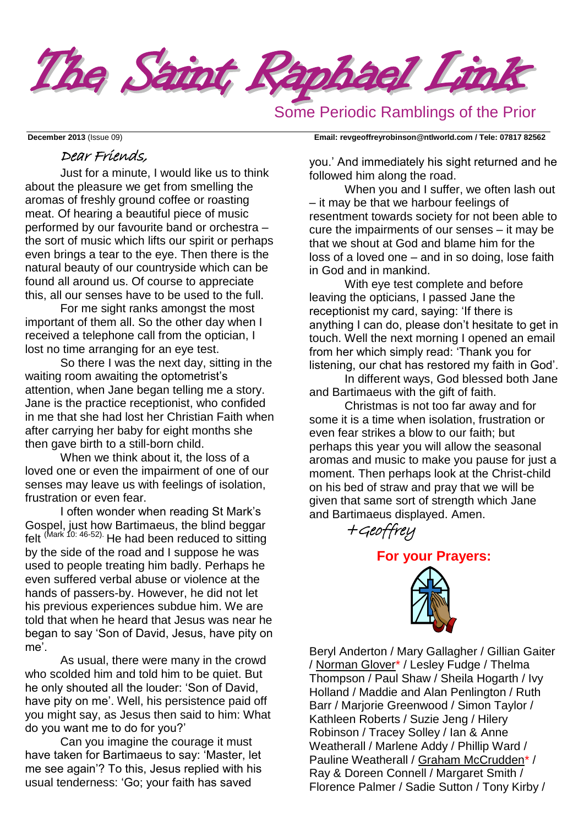

Some Periodic Ramblings of the Prior

## Dear Friends,

Just for a minute, I would like us to think about the pleasure we get from smelling the aromas of freshly ground coffee or roasting meat. Of hearing a beautiful piece of music performed by our favourite band or orchestra – the sort of music which lifts our spirit or perhaps even brings a tear to the eye. Then there is the natural beauty of our countryside which can be found all around us. Of course to appreciate this, all our senses have to be used to the full.

For me sight ranks amongst the most important of them all. So the other day when I received a telephone call from the optician, I lost no time arranging for an eye test.

So there I was the next day, sitting in the waiting room awaiting the optometrist's attention, when Jane began telling me a story. Jane is the practice receptionist, who confided in me that she had lost her Christian Faith when after carrying her baby for eight months she then gave birth to a still-born child.

When we think about it, the loss of a loved one or even the impairment of one of our senses may leave us with feelings of isolation, frustration or even fear.

I often wonder when reading St Mark's Gospel, just how Bartimaeus, the blind beggar felt (Mark 10: 46-52). He had been reduced to sitting by the side of the road and I suppose he was used to people treating him badly. Perhaps he even suffered verbal abuse or violence at the hands of passers-by. However, he did not let his previous experiences subdue him. We are told that when he heard that Jesus was near he began to say 'Son of David, Jesus, have pity on me'.

As usual, there were many in the crowd who scolded him and told him to be quiet. But he only shouted all the louder: 'Son of David, have pity on me'. Well, his persistence paid off you might say, as Jesus then said to him: What do you want me to do for you?'

Can you imagine the courage it must have taken for Bartimaeus to say: 'Master, let me see again'? To this, Jesus replied with his usual tenderness: 'Go; your faith has saved

**December 2013** (Issue 09) **Email: [revgeoffreyrobinson@ntlworld.com](mailto:revgeoffreyrobinson@ntlworld.com) / Tele: 07817 82562**

you.' And immediately his sight returned and he followed him along the road.

When you and I suffer, we often lash out – it may be that we harbour feelings of resentment towards society for not been able to cure the impairments of our senses – it may be that we shout at God and blame him for the loss of a loved one – and in so doing, lose faith in God and in mankind.

With eye test complete and before leaving the opticians, I passed Jane the receptionist my card, saying: 'If there is anything I can do, please don't hesitate to get in touch. Well the next morning I opened an email from her which simply read: 'Thank you for listening, our chat has restored my faith in God'.

In different ways, God blessed both Jane and Bartimaeus with the gift of faith.

Christmas is not too far away and for some it is a time when isolation, frustration or even fear strikes a blow to our faith; but perhaps this year you will allow the seasonal aromas and music to make you pause for just a moment. Then perhaps look at the Christ-child on his bed of straw and pray that we will be given that same sort of strength which Jane and Bartimaeus displayed. Amen.



**For your Prayers:** 



Beryl Anderton / Mary Gallagher / Gillian Gaiter / Norman Glover\* / Lesley Fudge / Thelma Thompson / Paul Shaw / Sheila Hogarth / Ivy Holland / Maddie and Alan Penlington / Ruth Barr / Marjorie Greenwood / Simon Taylor / Kathleen Roberts / Suzie Jeng / Hilery Robinson / Tracey Solley / Ian & Anne Weatherall / Marlene Addy / Phillip Ward / Pauline Weatherall / Graham McCrudden\* / Ray & Doreen Connell / Margaret Smith / Florence Palmer / Sadie Sutton / Tony Kirby /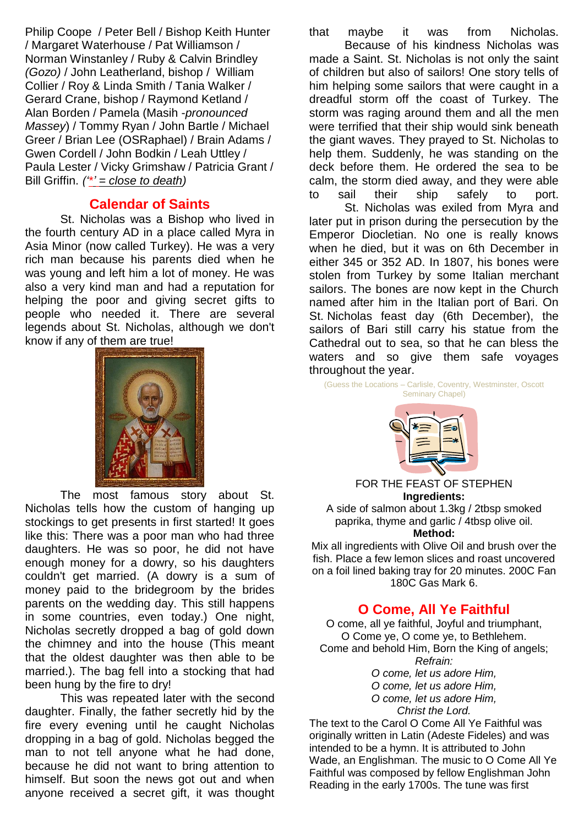Philip Coope / Peter Bell / Bishop Keith Hunter / Margaret Waterhouse / Pat Williamson / Norman Winstanley / Ruby & Calvin Brindley *(Gozo)* / John Leatherland, bishop / William Collier / Roy & Linda Smith / Tania Walker / Gerard Crane, bishop / Raymond Ketland / Alan Borden / Pamela (Masih -*pronounced Massey*) / Tommy Ryan / John Bartle / Michael Greer / Brian Lee (OSRaphael) / Brain Adams / Gwen Cordell / John Bodkin / Leah Uttley / Paula Lester / Vicky Grimshaw / Patricia Grant / Bill Griffin. *('\*' = close to death)*

## **Calendar of Saints**

St. Nicholas was a Bishop who lived in the fourth century AD in a place called Myra in Asia Minor (now called Turkey). He was a very rich man because his parents died when he was young and left him a lot of money. He was also a very kind man and had a reputation for helping the poor and giving secret gifts to people who needed it. There are several legends about St. Nicholas, although we don't know if any of them are true!



The most famous story about St. Nicholas tells how the custom of hanging up stockings to get presents in first started! It goes like this: There was a poor man who had three daughters. He was so poor, he did not have enough money for a dowry, so his daughters couldn't get married. (A dowry is a sum of money paid to the bridegroom by the brides parents on the wedding day. This still happens in some countries, even today.) One night, Nicholas secretly dropped a bag of gold down the chimney and into the house (This meant that the oldest daughter was then able to be married.). The bag fell into a stocking that had been hung by the fire to dry!

This was repeated later with the second daughter. Finally, the father secretly hid by the fire every evening until he caught Nicholas dropping in a bag of gold. Nicholas begged the man to not tell anyone what he had done, because he did not want to bring attention to himself. But soon the news got out and when anyone received a secret gift, it was thought that maybe it was from Nicholas. Because of his kindness Nicholas was made a Saint. St. Nicholas is not only the saint of children but also of sailors! One story tells of him helping some sailors that were caught in a dreadful storm off the coast of Turkey. The storm was raging around them and all the men were terrified that their ship would sink beneath the giant waves. They prayed to St. Nicholas to help them. Suddenly, he was standing on the deck before them. He ordered the sea to be calm, the storm died away, and they were able to sail their ship safely to port.

St. Nicholas was exiled from Myra and later put in prison during the persecution by the Emperor Diocletian. No one is really knows when he died, but it was on 6th December in either 345 or 352 AD. In 1807, his bones were stolen from Turkey by some [Italian](http://www.whychristmas.com/cultures/italy.shtml) merchant sailors. The bones are now kept in the Church named after him in the Italian port of Bari. On St. Nicholas feast day (6th December), the sailors of Bari still carry his statue from the Cathedral out to sea, so that he can bless the waters and so give them safe voyages throughout the year.

(Guess the Locations – Carlisle, Coventry, Westminster, Oscott Seminary Chapel)



FOR THE FEAST OF STEPHEN **Ingredients:** A side of salmon about 1.3kg / 2tbsp smoked

paprika, thyme and garlic / 4tbsp olive oil. **Method:**

Mix all ingredients with Olive Oil and brush over the fish. Place a few lemon slices and roast uncovered on a foil lined baking tray for 20 minutes. 200C Fan 180C Gas Mark 6.

## **O Come, All Ye Faithful**

O come, all ye faithful, Joyful and triumphant, O Come ye, O come ye, to Bethlehem. Come and behold Him, Born the King of angels; *Refrain:*

*O come, let us adore Him,*

*O come, let us adore Him,*

*O come, let us adore Him, Christ the Lord.*

The text to the Carol O Come All Ye Faithful was

originally written in Latin (Adeste Fideles) and was intended to be a hymn. It is attributed to John Wade, an Englishman. The music to O Come All Ye Faithful was composed by fellow Englishman John Reading in the early 1700s. The tune was first